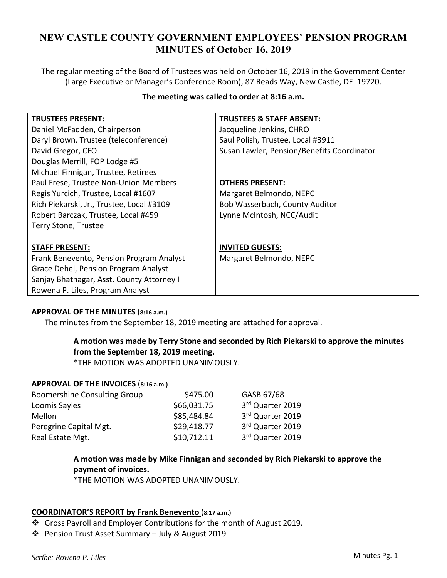# **NEW CASTLE COUNTY GOVERNMENT EMPLOYEES' PENSION PROGRAM MINUTES of October 16, 2019**

The regular meeting of the Board of Trustees was held on October 16, 2019 in the Government Center (Large Executive or Manager's Conference Room), 87 Reads Way, New Castle, DE 19720.

| The meeting was called to order at 8:16 a.m. |
|----------------------------------------------|
|----------------------------------------------|

| <b>TRUSTEES &amp; STAFF ABSENT:</b>        |
|--------------------------------------------|
| Jacqueline Jenkins, CHRO                   |
| Saul Polish, Trustee, Local #3911          |
| Susan Lawler, Pension/Benefits Coordinator |
|                                            |
|                                            |
| <b>OTHERS PRESENT:</b>                     |
| Margaret Belmondo, NEPC                    |
| Bob Wasserbach, County Auditor             |
| Lynne McIntosh, NCC/Audit                  |
|                                            |
|                                            |
| <b>INVITED GUESTS:</b>                     |
| Margaret Belmondo, NEPC                    |
|                                            |
|                                            |
|                                            |
|                                            |

## **APPROVAL OF THE MINUTES** (**8:16 a.m.)**

The minutes from the September 18, 2019 meeting are attached for approval.

## **A motion was made by Terry Stone and seconded by Rich Piekarski to approve the minutes from the September 18, 2019 meeting.**

\*THE MOTION WAS ADOPTED UNANIMOUSLY.

#### **APPROVAL OF THE INVOICES** (**8:16 a.m.)**

| <b>Boomershine Consulting Group</b> | \$475.00    | GASB 67/68       |
|-------------------------------------|-------------|------------------|
| Loomis Sayles                       | \$66,031.75 | 3rd Quarter 2019 |
| Mellon                              | \$85,484.84 | 3rd Quarter 2019 |
| Peregrine Capital Mgt.              | \$29,418.77 | 3rd Quarter 2019 |
| Real Estate Mgt.                    | \$10,712.11 | 3rd Quarter 2019 |

**A motion was made by Mike Finnigan and seconded by Rich Piekarski to approve the payment of invoices.** 

\*THE MOTION WAS ADOPTED UNANIMOUSLY.

## **COORDINATOR'S REPORT by Frank Benevento** (**8:17 a.m.)**

- Gross Payroll and Employer Contributions for the month of August 2019.
- Pension Trust Asset Summary July & August 2019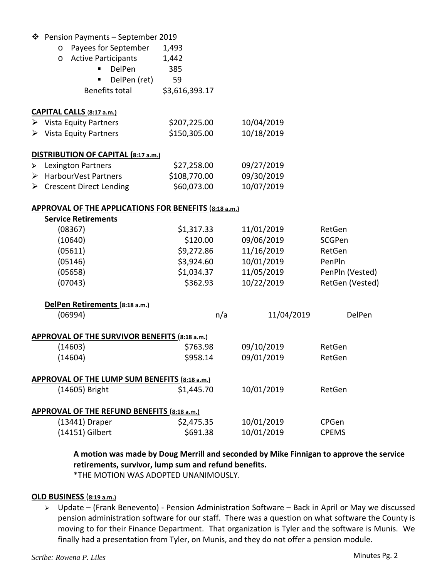|   | ❖ Pension Payments - September 2019                   |                |            |                 |
|---|-------------------------------------------------------|----------------|------------|-----------------|
|   | Payees for September<br>$\circ$                       | 1,493          |            |                 |
|   | <b>Active Participants</b><br>$\circ$                 | 1,442          |            |                 |
|   | DelPen                                                | 385            |            |                 |
|   | DelPen (ret)                                          | 59             |            |                 |
|   | Benefits total                                        | \$3,616,393.17 |            |                 |
|   | CAPITAL CALLS (8:17 a.m.)                             |                |            |                 |
|   | $\triangleright$ Vista Equity Partners                | \$207,225.00   | 10/04/2019 |                 |
|   | $\triangleright$ Vista Equity Partners                | \$150,305.00   | 10/18/2019 |                 |
|   | DISTRIBUTION OF CAPITAL (8:17 a.m.)                   |                |            |                 |
| ➤ | <b>Lexington Partners</b>                             | \$27,258.00    | 09/27/2019 |                 |
| ≻ | <b>HarbourVest Partners</b>                           | \$108,770.00   | 09/30/2019 |                 |
|   | $\triangleright$ Crescent Direct Lending              | \$60,073.00    | 10/07/2019 |                 |
|   | APPROVAL OF THE APPLICATIONS FOR BENEFITS (8:18 a.m.) |                |            |                 |
|   | <b>Service Retirements</b>                            |                |            |                 |
|   | (08367)                                               | \$1,317.33     | 11/01/2019 | RetGen          |
|   | (10640)                                               | \$120.00       | 09/06/2019 | SCGPen          |
|   | (05611)                                               | \$9,272.86     | 11/16/2019 | RetGen          |
|   | (05146)                                               | \$3,924.60     | 10/01/2019 | PenPln          |
|   | (05658)                                               | \$1,034.37     | 11/05/2019 | PenPln (Vested) |
|   | (07043)                                               | \$362.93       | 10/22/2019 | RetGen (Vested) |
|   | DelPen Retirements (8:18 a.m.)                        |                |            |                 |
|   | (06994)                                               | n/a            | 11/04/2019 | DelPen          |
|   | <b>APPROVAL OF THE SURVIVOR BENEFITS (8:18 a.m.)</b>  |                |            |                 |
|   | (14603)                                               | \$763.98       | 09/10/2019 | RetGen          |
|   | (14604)                                               | \$958.14       | 09/01/2019 | RetGen          |
|   | APPROVAL OF THE LUMP SUM BENEFITS (8:18 a.m.)         |                |            |                 |
|   | (14605) Bright                                        | \$1,445.70     | 10/01/2019 | RetGen          |
|   | APPROVAL OF THE REFUND BENEFITS (8:18 a.m.)           |                |            |                 |
|   | (13441) Draper                                        | \$2,475.35     | 10/01/2019 | CPGen           |
|   | (14151) Gilbert                                       | \$691.38       | 10/01/2019 | <b>CPEMS</b>    |

**A motion was made by Doug Merrill and seconded by Mike Finnigan to approve the service retirements, survivor, lump sum and refund benefits.** 

\*THE MOTION WAS ADOPTED UNANIMOUSLY.

## **OLD BUSINESS** (**8:19 a.m.)**

 Update – (Frank Benevento) ‐ Pension Administration Software – Back in April or May we discussed pension administration software for our staff. There was a question on what software the County is moving to for their Finance Department. That organization is Tyler and the software is Munis. We finally had a presentation from Tyler, on Munis, and they do not offer a pension module.